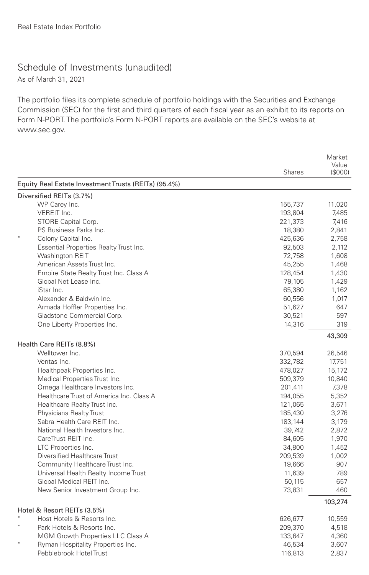## Schedule of Investments (unaudited)

As of March 31, 2021

The portfolio files its complete schedule of portfolio holdings with the Securities and Exchange Commission (SEC) for the first and third quarters of each fiscal year as an exhibit to its reports on Form N-PORT. The portfolio's Form N-PORT reports are available on the SEC's website at www.sec.gov.

|                                                      | <b>Shares</b> | Market<br>Value<br>(S000) |
|------------------------------------------------------|---------------|---------------------------|
| Equity Real Estate Investment Trusts (REITs) (95.4%) |               |                           |
| Diversified REITs (3.7%)                             |               |                           |
| WP Carey Inc.                                        | 155,737       | 11,020                    |
| VEREIT Inc.                                          | 193,804       | 7,485                     |
| STORE Capital Corp.                                  | 221,373       | 7.416                     |
| PS Business Parks Inc.                               | 18,380        | 2,841                     |
| Colony Capital Inc.                                  | 425,636       | 2,758                     |
| Essential Properties Realty Trust Inc.               | 92,503        | 2,112                     |
| Washington REIT                                      | 72,758        | 1,608                     |
| American Assets Trust Inc.                           | 45,255        | 1,468                     |
| Empire State Realty Trust Inc. Class A               | 128,454       | 1,430                     |
| Global Net Lease Inc.                                | 79,105        | 1,429                     |
| iStar Inc.                                           | 65,380        | 1,162                     |
| Alexander & Baldwin Inc.                             | 60,556        | 1,017                     |
| Armada Hoffler Properties Inc.                       | 51,627        | 647                       |
| Gladstone Commercial Corp.                           | 30,521        | 597                       |
| One Liberty Properties Inc.                          | 14,316        | 319                       |
| Health Care REITs (8.8%)                             |               | 43,309                    |
| Welltower Inc.                                       | 370,594       | 26,546                    |
| Ventas Inc.                                          | 332,782       | 17,751                    |
| Healthpeak Properties Inc.                           | 478,027       | 15,172                    |
| Medical Properties Trust Inc.                        | 509,379       | 10,840                    |
| Omega Healthcare Investors Inc.                      | 201,411       | 7,378                     |
| Healthcare Trust of America Inc. Class A             | 194,055       | 5,352                     |
| Healthcare Realty Trust Inc.                         | 121,065       | 3,671                     |
| Physicians Realty Trust                              | 185,430       | 3,276                     |
| Sabra Health Care REIT Inc.                          | 183,144       | 3,179                     |
| National Health Investors Inc.                       | 39,742        | 2,872                     |
| CareTrust REIT Inc.                                  | 84,605        | 1,970                     |
| LTC Properties Inc.                                  | 34,800        | 1,452                     |
| Diversified Healthcare Trust                         | 209,539       | 1,002                     |
| Community Healthcare Trust Inc.                      | 19,666        | 907                       |
| Universal Health Realty Income Trust                 | 11,639        | 789                       |
| Global Medical REIT Inc.                             | 50,115        | 657                       |
| New Senior Investment Group Inc.                     | 73,831        | 460                       |
|                                                      |               | 103,274                   |
| Hotel & Resort REITs (3.5%)                          |               |                           |
| Host Hotels & Resorts Inc.                           | 626,677       | 10,559                    |
| Park Hotels & Resorts Inc.                           | 209,370       | 4,518                     |
| MGM Growth Properties LLC Class A                    | 133,647       | 4,360                     |
| Ryman Hospitality Properties Inc.                    | 46,534        | 3,607                     |
| Pebblebrook Hotel Trust                              | 116,813       | 2,837                     |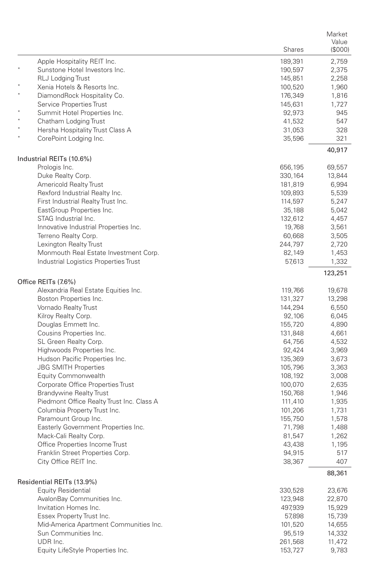|                                             |               | Market  |
|---------------------------------------------|---------------|---------|
|                                             |               | Value   |
|                                             | <b>Shares</b> | (S000)  |
| Apple Hospitality REIT Inc.                 | 189,391       | 2,759   |
| $\star$<br>Sunstone Hotel Investors Inc.    | 190,597       | 2,375   |
| RLJ Lodging Trust                           | 145,851       | 2,258   |
| ×<br>Xenia Hotels & Resorts Inc.<br>$\ast$  | 100,520       | 1,960   |
| DiamondRock Hospitality Co.                 | 176,349       | 1,816   |
| Service Properties Trust<br>×               | 145,631       | 1,727   |
| Summit Hotel Properties Inc.<br>$\ast$      | 92,973        | 945     |
| Chatham Lodging Trust<br>×                  | 41,532        | 547     |
| Hersha Hospitality Trust Class A<br>$\star$ | 31,053        | 328     |
| CorePoint Lodging Inc.                      | 35,596        | 321     |
|                                             |               | 40,917  |
| Industrial REITs (10.6%)<br>Prologis Inc.   | 656,195       | 69,557  |
| Duke Realty Corp.                           | 330,164       | 13,844  |
| Americold Realty Trust                      | 181,819       | 6,994   |
| Rexford Industrial Realty Inc.              |               | 5,539   |
|                                             | 109,893       |         |
| First Industrial Realty Trust Inc.          | 114,597       | 5,247   |
| EastGroup Properties Inc.                   | 35,188        | 5,042   |
| STAG Industrial Inc.                        | 132,612       | 4,457   |
| Innovative Industrial Properties Inc.       | 19,768        | 3,561   |
| Terreno Realty Corp.                        | 60,668        | 3,505   |
| Lexington Realty Trust                      | 244,797       | 2,720   |
| Monmouth Real Estate Investment Corp.       | 82,149        | 1,453   |
| Industrial Logistics Properties Trust       | 57,613        | 1,332   |
| Office REITs (7.6%)                         |               | 123,251 |
| Alexandria Real Estate Equities Inc.        | 119,766       | 19,678  |
| Boston Properties Inc.                      | 131,327       | 13,298  |
| Vornado Realty Trust                        | 144,294       | 6,550   |
| Kilroy Realty Corp.                         | 92,106        | 6,045   |
| Douglas Emmett Inc.                         | 155,720       | 4,890   |
| Cousins Properties Inc.                     | 131,848       | 4,661   |
| SL Green Realty Corp.                       | 64,756        | 4,532   |
| Highwoods Properties Inc.                   | 92,424        | 3,969   |
| Hudson Pacific Properties Inc.              | 135,369       | 3,673   |
| <b>JBG SMITH Properties</b>                 | 105,796       | 3,363   |
| Equity Commonwealth                         | 108,192       | 3,008   |
| Corporate Office Properties Trust           | 100,070       | 2,635   |
| <b>Brandywine Realty Trust</b>              | 150,768       | 1,946   |
| Piedmont Office Realty Trust Inc. Class A   | 111,410       | 1,935   |
| Columbia Property Trust Inc.                | 101,206       | 1,731   |
| Paramount Group Inc.                        | 155,750       | 1,578   |
| Easterly Government Properties Inc.         | 71,798        | 1,488   |
| Mack-Cali Realty Corp.                      | 81,547        | 1,262   |
| Office Properties Income Trust              | 43,438        | 1,195   |
| Franklin Street Properties Corp.            | 94,915        | 517     |
| City Office REIT Inc.                       | 38,367        | 407     |
|                                             |               | 88,361  |
| Residential REITs (13.9%)                   |               |         |
| <b>Equity Residential</b>                   | 330,528       | 23,676  |
| AvalonBay Communities Inc.                  | 123,948       | 22,870  |
| Invitation Homes Inc.                       | 497,939       | 15,929  |
| Essex Property Trust Inc.                   | 57,898        | 15,739  |
| Mid-America Apartment Communities Inc.      | 101,520       | 14,655  |
| Sun Communities Inc.                        | 95,519        | 14,332  |
| UDR Inc.                                    | 261,568       | 11,472  |
| Equity LifeStyle Properties Inc.            | 153,727       | 9,783   |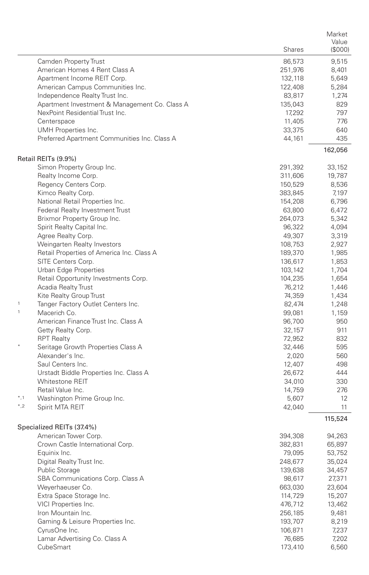|              |                                                           |                  | Market          |
|--------------|-----------------------------------------------------------|------------------|-----------------|
|              |                                                           | Shares           | Value<br>(S000) |
|              |                                                           |                  |                 |
|              | Camden Property Trust                                     | 86,573           | 9,515           |
|              | American Homes 4 Rent Class A                             | 251,976          | 8,401           |
|              | Apartment Income REIT Corp.                               | 132,118          | 5,649           |
|              | American Campus Communities Inc.                          | 122,408          | 5,284           |
|              | Independence Realty Trust Inc.                            | 83,817           | 1,274           |
|              | Apartment Investment & Management Co. Class A             | 135,043          | 829             |
|              | NexPoint Residential Trust Inc.                           | 17,292           | 797             |
|              | Centerspace<br>UMH Properties Inc.                        | 11,405           | 776             |
|              | Preferred Apartment Communities Inc. Class A              | 33,375           | 640<br>435      |
|              |                                                           | 44,161           | 162,056         |
|              | Retail REITs (9.9%)                                       |                  |                 |
|              | Simon Property Group Inc.                                 | 291,392          | 33,152          |
|              | Realty Income Corp.                                       | 311,606          | 19,787          |
|              | Regency Centers Corp.                                     | 150,529          | 8,536           |
|              | Kimco Realty Corp.                                        | 383,845          | 7,197           |
|              | National Retail Properties Inc.                           | 154,208          | 6,796           |
|              | Federal Realty Investment Trust                           | 63,800           | 6,472           |
|              | Brixmor Property Group Inc.                               | 264,073          | 5,342           |
|              | Spirit Realty Capital Inc.                                | 96,322           | 4,094           |
|              | Agree Realty Corp.                                        | 49,307           | 3,319           |
|              | Weingarten Realty Investors                               | 108,753          | 2,927           |
|              | Retail Properties of America Inc. Class A                 | 189,370          | 1,985           |
|              | SITE Centers Corp.                                        | 136,617          | 1,853           |
|              | Urban Edge Properties                                     | 103,142          | 1,704           |
|              | Retail Opportunity Investments Corp.                      | 104,235          | 1,654           |
|              | Acadia Realty Trust                                       | 76,212           | 1,446           |
|              | Kite Realty Group Trust                                   | 74,359           | 1,434           |
| $\mathbf{1}$ | Tanger Factory Outlet Centers Inc.                        | 82,474           | 1,248           |
| $\mathbf{1}$ | Macerich Co.                                              | 99,081           | 1,159           |
|              | American Finance Trust Inc. Class A                       | 96,700           | 950             |
|              | Getty Realty Corp.                                        | 32,157           | 911             |
|              | <b>RPT Realty</b>                                         | 72,952           | 832             |
|              | Seritage Growth Properties Class A                        | 32,446           | 595             |
|              | Alexander's Inc.<br>Saul Centers Inc.                     | 2,020            | 560<br>498      |
|              |                                                           | 12,407           | 444             |
|              | Urstadt Biddle Properties Inc. Class A<br>Whitestone REIT | 26,672           | 330             |
|              | Retail Value Inc.                                         | 34,010<br>14,759 | 276             |
| *,1          | Washington Prime Group Inc.                               | 5,607            | 12              |
| $^*,2$       | Spirit MTA REIT                                           | 42,040           | 11              |
|              |                                                           |                  | 115,524         |
|              | Specialized REITs (37.4%)                                 |                  |                 |
|              | American Tower Corp.                                      | 394,308          | 94,263          |
|              | Crown Castle International Corp.                          | 382,831          | 65,897          |
|              | Equinix Inc.                                              | 79,095           | 53,752          |
|              | Digital Realty Trust Inc.                                 | 248,677          | 35,024          |
|              | Public Storage                                            | 139,638          | 34,457          |
|              | SBA Communications Corp. Class A                          | 98,617           | 27,371          |
|              | Weyerhaeuser Co.                                          | 663,030          | 23,604          |
|              | Extra Space Storage Inc.                                  | 114,729          | 15,207          |
|              | VICI Properties Inc.                                      | 476,712          | 13,462          |
|              | Iron Mountain Inc.                                        | 256,185          | 9,481           |
|              | Gaming & Leisure Properties Inc.                          | 193,707          | 8,219           |
|              | CyrusOne Inc.                                             | 106,871          | 7,237           |
|              | Lamar Advertising Co. Class A                             | 76,685           | 7,202           |
|              | CubeSmart                                                 | 173,410          | 6,560           |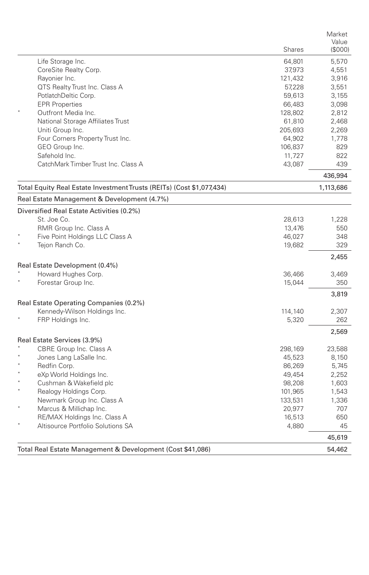|         |                                                                       |                  | Market           |
|---------|-----------------------------------------------------------------------|------------------|------------------|
|         |                                                                       | Shares           | Value<br>(\$000) |
|         | Life Storage Inc.                                                     | 64,801           | 5,570            |
|         | CoreSite Realty Corp.                                                 | 37,973           | 4,551            |
|         | Rayonier Inc.                                                         | 121,432          | 3,916            |
|         | QTS Realty Trust Inc. Class A                                         | 57,228           | 3,551            |
|         | PotlatchDeltic Corp.                                                  | 59,613           | 3,155            |
|         | <b>EPR Properties</b>                                                 | 66,483           | 3,098            |
|         | Outfront Media Inc.                                                   | 128,802          | 2,812            |
|         | National Storage Affiliates Trust                                     | 61,810           | 2,468            |
|         | Uniti Group Inc.                                                      | 205,693          | 2,269            |
|         | Four Corners Property Trust Inc.                                      | 64,902           | 1,778            |
|         | GEO Group Inc.<br>Safehold Inc.                                       | 106,837          | 829              |
|         | CatchMark Timber Trust Inc. Class A                                   | 11,727<br>43,087 | 822<br>439       |
|         |                                                                       |                  | 436,994          |
|         | Total Equity Real Estate Investment Trusts (REITs) (Cost \$1,077,434) |                  | 1,113,686        |
|         | Real Estate Management & Development (4.7%)                           |                  |                  |
|         | Diversified Real Estate Activities (0.2%)                             |                  |                  |
|         | St. Joe Co.                                                           | 28,613           | 1,228            |
|         | RMR Group Inc. Class A                                                | 13,476           | 550              |
|         | Five Point Holdings LLC Class A                                       | 46,027           | 348              |
|         | Tejon Ranch Co.                                                       | 19,682           | 329              |
|         |                                                                       |                  | 2,455            |
|         | Real Estate Development (0.4%)                                        |                  |                  |
|         | Howard Hughes Corp.                                                   | 36,466           | 3,469            |
|         | Forestar Group Inc.                                                   | 15,044           | 350              |
|         |                                                                       |                  | 3,819            |
|         | Real Estate Operating Companies (0.2%)                                |                  |                  |
|         | Kennedy-Wilson Holdings Inc.                                          | 114,140<br>5,320 | 2,307<br>262     |
|         | FRP Holdings Inc.                                                     |                  |                  |
|         | Real Estate Services (3.9%)                                           |                  | 2,569            |
|         | CBRE Group Inc. Class A                                               | 298,169          | 23,588           |
|         | Jones Lang LaSalle Inc.                                               | 45,523           | 8,150            |
|         | Redfin Corp.                                                          | 86,269           | 5,745            |
|         | eXp World Holdings Inc.                                               | 49,454           | 2,252            |
|         | Cushman & Wakefield plc                                               | 98,208           | 1,603            |
| $\star$ | Realogy Holdings Corp.                                                | 101,965          | 1,543            |
|         | Newmark Group Inc. Class A                                            | 133,531          | 1,336            |
|         | Marcus & Millichap Inc.                                               | 20,977           | 707              |
|         | RE/MAX Holdings Inc. Class A                                          | 16,513           | 650              |
|         | Altisource Portfolio Solutions SA                                     | 4,880            | 45               |
|         |                                                                       |                  | 45,619           |
|         | Total Real Estate Management & Development (Cost \$41,086)            |                  | 54,462           |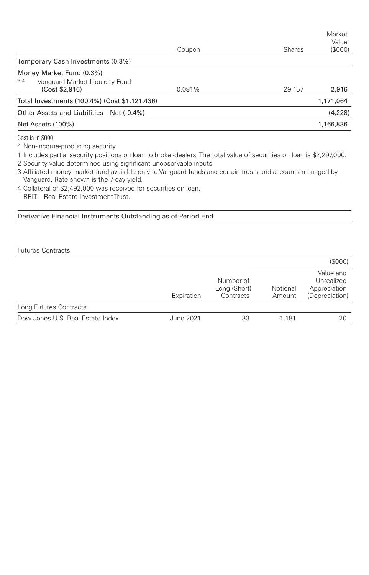|                                                                                     | Coupon | Shares | Market<br>Value<br>(\$000) |
|-------------------------------------------------------------------------------------|--------|--------|----------------------------|
| Temporary Cash Investments (0.3%)                                                   |        |        |                            |
| Money Market Fund (0.3%)<br>3,4<br>Vanguard Market Liquidity Fund<br>(Cost \$2,916) | 0.081% | 29.157 | 2,916                      |
| Total Investments (100.4%) (Cost \$1,121,436)                                       |        |        | 1,171,064                  |
| Other Assets and Liabilities-Net (-0.4%)                                            |        |        | (4,228)                    |
| Net Assets (100%)                                                                   |        |        | 1,166,836                  |
| Cost is in \$000.                                                                   |        |        |                            |

\* Non-income-producing security.

1 Includes partial security positions on loan to broker-dealers. The total value of securities on loan is \$2,297,000.

2 Security value determined using significant unobservable inputs.

3 Affiliated money market fund available only to Vanguard funds and certain trusts and accounts managed by Vanguard. Rate shown is the 7-day yield.

4 Collateral of \$2,492,000 was received for securities on loan. REIT—Real Estate Investment Trust.

## Derivative Financial Instruments Outstanding as of Period End

Futures Contracts

|                                  |            |                                        |                    | (S000)                                                    |
|----------------------------------|------------|----------------------------------------|--------------------|-----------------------------------------------------------|
|                                  | Expiration | Number of<br>Long (Short)<br>Contracts | Notional<br>Amount | Value and<br>Unrealized<br>Appreciation<br>(Depreciation) |
| Long Futures Contracts           |            |                                        |                    |                                                           |
| Dow Jones U.S. Real Estate Index | June 2021  | 33                                     | 1.181              | 20                                                        |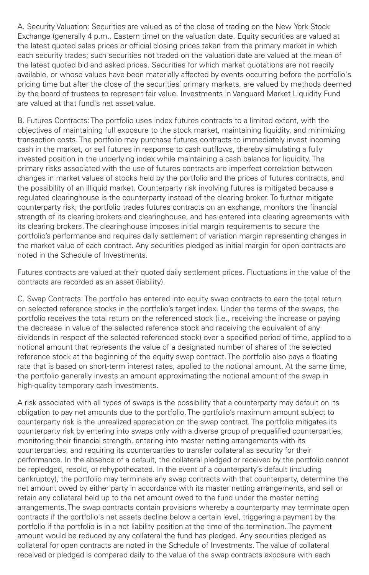A. Security Valuation: Securities are valued as of the close of trading on the New York Stock Exchange (generally 4 p.m., Eastern time) on the valuation date. Equity securities are valued at the latest quoted sales prices or official closing prices taken from the primary market in which each security trades; such securities not traded on the valuation date are valued at the mean of the latest quoted bid and asked prices. Securities for which market quotations are not readily available, or whose values have been materially affected by events occurring before the portfolio's pricing time but after the close of the securities' primary markets, are valued by methods deemed by the board of trustees to represent fair value. Investments in Vanguard Market Liquidity Fund are valued at that fund's net asset value.

B. Futures Contracts: The portfolio uses index futures contracts to a limited extent, with the objectives of maintaining full exposure to the stock market, maintaining liquidity, and minimizing transaction costs. The portfolio may purchase futures contracts to immediately invest incoming cash in the market, or sell futures in response to cash outflows, thereby simulating a fully invested position in the underlying index while maintaining a cash balance for liquidity. The primary risks associated with the use of futures contracts are imperfect correlation between changes in market values of stocks held by the portfolio and the prices of futures contracts, and the possibility of an illiquid market. Counterparty risk involving futures is mitigated because a regulated clearinghouse is the counterparty instead of the clearing broker. To further mitigate counterparty risk, the portfolio trades futures contracts on an exchange, monitors the financial strength of its clearing brokers and clearinghouse, and has entered into clearing agreements with its clearing brokers. The clearinghouse imposes initial margin requirements to secure the portfolio's performance and requires daily settlement of variation margin representing changes in the market value of each contract. Any securities pledged as initial margin for open contracts are noted in the Schedule of Investments.

Futures contracts are valued at their quoted daily settlement prices. Fluctuations in the value of the contracts are recorded as an asset (liability).

C. Swap Contracts: The portfolio has entered into equity swap contracts to earn the total return on selected reference stocks in the portfolio's target index. Under the terms of the swaps, the portfolio receives the total return on the referenced stock (i.e., receiving the increase or paying the decrease in value of the selected reference stock and receiving the equivalent of any dividends in respect of the selected referenced stock) over a specified period of time, applied to a notional amount that represents the value of a designated number of shares of the selected reference stock at the beginning of the equity swap contract. The portfolio also pays a floating rate that is based on short-term interest rates, applied to the notional amount. At the same time, the portfolio generally invests an amount approximating the notional amount of the swap in high-quality temporary cash investments.

A risk associated with all types of swaps is the possibility that a counterparty may default on its obligation to pay net amounts due to the portfolio. The portfolio's maximum amount subject to counterparty risk is the unrealized appreciation on the swap contract. The portfolio mitigates its counterparty risk by entering into swaps only with a diverse group of prequalified counterparties, monitoring their financial strength, entering into master netting arrangements with its counterparties, and requiring its counterparties to transfer collateral as security for their performance. In the absence of a default, the collateral pledged or received by the portfolio cannot be repledged, resold, or rehypothecated. In the event of a counterparty's default (including bankruptcy), the portfolio may terminate any swap contracts with that counterparty, determine the net amount owed by either party in accordance with its master netting arrangements, and sell or retain any collateral held up to the net amount owed to the fund under the master netting arrangements. The swap contracts contain provisions whereby a counterparty may terminate open contracts if the portfolio's net assets decline below a certain level, triggering a payment by the portfolio if the portfolio is in a net liability position at the time of the termination. The payment amount would be reduced by any collateral the fund has pledged. Any securities pledged as collateral for open contracts are noted in the Schedule of Investments. The value of collateral received or pledged is compared daily to the value of the swap contracts exposure with each